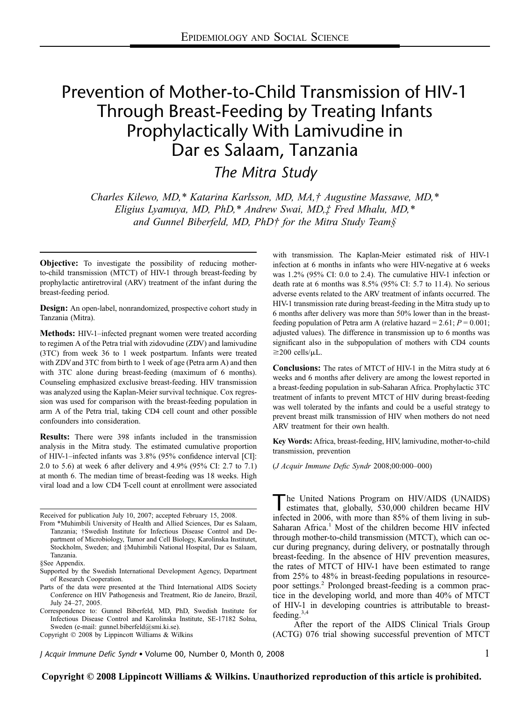# Prevention of Mother-to-Child Transmission of HIV-1 Through Breast-Feeding by Treating Infants Prophylactically With Lamivudine in Dar es Salaam, Tanzania

The Mitra Study

Charles Kilewo, MD,\* Katarina Karlsson, MD, MA,† Augustine Massawe, MD,\* Eligius Lyamuya, MD, PhD,\* Andrew Swai, MD,‡ Fred Mhalu, MD,\* and Gunnel Biberfeld, MD, PhD† for the Mitra Study Team§

**Objective:** To investigate the possibility of reducing motherto-child transmission (MTCT) of HIV-1 through breast-feeding by prophylactic antiretroviral (ARV) treatment of the infant during the breast-feeding period.

Design: An open-label, nonrandomized, prospective cohort study in Tanzania (Mitra).

**Methods:** HIV-1–infected pregnant women were treated according to regimen A of the Petra trial with zidovudine (ZDV) and lamivudine (3TC) from week 36 to 1 week postpartum. Infants were treated with ZDVand 3TC from birth to 1 week of age (Petra arm A) and then with 3TC alone during breast-feeding (maximum of 6 months). Counseling emphasized exclusive breast-feeding. HIV transmission was analyzed using the Kaplan-Meier survival technique. Cox regression was used for comparison with the breast-feeding population in arm A of the Petra trial, taking CD4 cell count and other possible confounders into consideration.

Results: There were 398 infants included in the transmission analysis in the Mitra study. The estimated cumulative proportion of HIV-1–infected infants was 3.8% (95% confidence interval [CI]: 2.0 to 5.6) at week 6 after delivery and 4.9% (95% CI: 2.7 to 7.1) at month 6. The median time of breast-feeding was 18 weeks. High viral load and a low CD4 T-cell count at enrollment were associated

Received for publication July 10, 2007; accepted February 15, 2008.

Parts of the data were presented at the Third International AIDS Society Conference on HIV Pathogenesis and Treatment, Rio de Janeiro, Brazil, July 24–27, 2005.

J Acquir Immune Defic Syndr - Volume 00, Number 0, Month 0, 2008 1

with transmission. The Kaplan-Meier estimated risk of HIV-1 infection at 6 months in infants who were HIV-negative at 6 weeks was 1.2% (95% CI: 0.0 to 2.4). The cumulative HIV-1 infection or death rate at 6 months was 8.5% (95% CI: 5.7 to 11.4). No serious adverse events related to the ARV treatment of infants occurred. The HIV-1 transmission rate during breast-feeding in the Mitra study up to 6 months after delivery was more than 50% lower than in the breastfeeding population of Petra arm A (relative hazard =  $2.61$ ;  $P = 0.001$ ; adjusted values). The difference in transmission up to 6 months was significant also in the subpopulation of mothers with CD4 counts  $\geq$ 200 cells/ $\mu$ L.

Conclusions: The rates of MTCT of HIV-1 in the Mitra study at 6 weeks and 6 months after delivery are among the lowest reported in a breast-feeding population in sub-Saharan Africa. Prophylactic 3TC treatment of infants to prevent MTCT of HIV during breast-feeding was well tolerated by the infants and could be a useful strategy to prevent breast milk transmission of HIV when mothers do not need ARV treatment for their own health.

Key Words: Africa, breast-feeding, HIV, lamivudine, mother-to-child transmission, prevention

(J Acquir Immune Defic Syndr 2008;00:000–000)

The United Nations Program on HIV/AIDS (UNAIDS)<br>estimates that, globally, 530,000 children became HIV infected in 2006, with more than 85% of them living in sub-Saharan Africa.<sup>1</sup> Most of the children become HIV infected through mother-to-child transmission (MTCT), which can occur during pregnancy, during delivery, or postnatally through breast-feeding. In the absence of HIV prevention measures, the rates of MTCT of HIV-1 have been estimated to range from 25% to 48% in breast-feeding populations in resourcepoor settings.<sup>2</sup> Prolonged breast-feeding is a common practice in the developing world, and more than 40% of MTCT of HIV-1 in developing countries is attributable to breastfeeding.3,4

After the report of the AIDS Clinical Trials Group (ACTG) 076 trial showing successful prevention of MTCT

From \*Muhimbili University of Health and Allied Sciences, Dar es Salaam, Tanzania; †Swedish Institute for Infectious Disease Control and Department of Microbiology, Tumor and Cell Biology, Karolinska Institutet, Stockholm, Sweden; and ‡Muhimbili National Hospital, Dar es Salaam, Tanzania.

<sup>§</sup>See Appendix.

Supported by the Swedish International Development Agency, Department of Research Cooperation.

Correspondence to: Gunnel Biberfeld, MD, PhD, Swedish Institute for Infectious Disease Control and Karolinska Institute, SE-17182 Solna, Sweden (e-mail: gunnel.biberfeld@smi.ki.se).

Copyright © 2008 by Lippincott Williams & Wilkins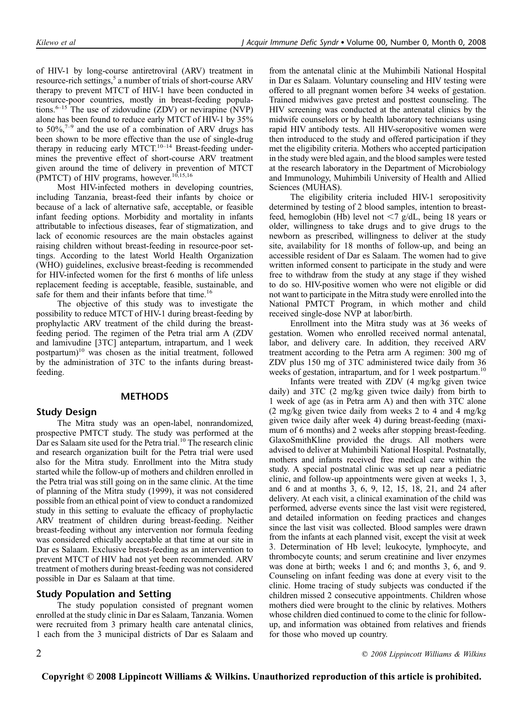of HIV-1 by long-course antiretroviral (ARV) treatment in resource-rich settings,<sup>5</sup> a number of trials of short-course ARV therapy to prevent MTCT of HIV-1 have been conducted in resource-poor countries, mostly in breast-feeding populations. $6-15$  The use of zidovudine (ZDV) or nevirapine (NVP) alone has been found to reduce early MTCT of HIV-1 by 35% to  $50\%$ ,  $7-9$  and the use of a combination of ARV drugs has been shown to be more effective than the use of single-drug therapy in reducing early MTCT.<sup>10–14</sup> Breast-feeding undermines the preventive effect of short-course ARV treatment given around the time of delivery in prevention of MTCT (PMTCT) of HIV programs, however.<sup>10,15,16</sup>

Most HIV-infected mothers in developing countries, including Tanzania, breast-feed their infants by choice or because of a lack of alternative safe, acceptable, or feasible infant feeding options. Morbidity and mortality in infants attributable to infectious diseases, fear of stigmatization, and lack of economic resources are the main obstacles against raising children without breast-feeding in resource-poor settings. According to the latest World Health Organization (WHO) guidelines, exclusive breast-feeding is recommended for HIV-infected women for the first 6 months of life unless replacement feeding is acceptable, feasible, sustainable, and safe for them and their infants before that time.<sup>16</sup>

The objective of this study was to investigate the possibility to reduce MTCT of HIV-1 during breast-feeding by prophylactic ARV treatment of the child during the breastfeeding period. The regimen of the Petra trial arm A (ZDV and lamivudine [3TC] antepartum, intrapartum, and 1 week postpartum)<sup>10</sup> was chosen as the initial treatment, followed by the administration of 3TC to the infants during breastfeeding.

# **METHODS**

## Study Design

The Mitra study was an open-label, nonrandomized, prospective PMTCT study. The study was performed at the Dar es Salaam site used for the Petra trial.<sup>10</sup> The research clinic and research organization built for the Petra trial were used also for the Mitra study. Enrollment into the Mitra study started while the follow-up of mothers and children enrolled in the Petra trial was still going on in the same clinic. At the time of planning of the Mitra study (1999), it was not considered possible from an ethical point of view to conduct a randomized study in this setting to evaluate the efficacy of prophylactic ARV treatment of children during breast-feeding. Neither breast-feeding without any intervention nor formula feeding was considered ethically acceptable at that time at our site in Dar es Salaam. Exclusive breast-feeding as an intervention to prevent MTCT of HIV had not yet been recommended. ARV treatment of mothers during breast-feeding was not considered possible in Dar es Salaam at that time.

## Study Population and Setting

The study population consisted of pregnant women enrolled at the study clinic in Dar es Salaam, Tanzania. Women were recruited from 3 primary health care antenatal clinics, 1 each from the 3 municipal districts of Dar es Salaam and from the antenatal clinic at the Muhimbili National Hospital in Dar es Salaam. Voluntary counseling and HIV testing were offered to all pregnant women before 34 weeks of gestation. Trained midwives gave pretest and posttest counseling. The HIV screening was conducted at the antenatal clinics by the midwife counselors or by health laboratory technicians using rapid HIV antibody tests. All HIV-seropositive women were then introduced to the study and offered participation if they met the eligibility criteria. Mothers who accepted participation in the study were bled again, and the blood samples were tested at the research laboratory in the Department of Microbiology and Immunology, Muhimbili University of Health and Allied Sciences (MUHAS).

The eligibility criteria included HIV-1 seropositivity determined by testing of 2 blood samples, intention to breastfeed, hemoglobin (Hb) level not  $\langle 7 \text{ g/dL}$ , being 18 years or older, willingness to take drugs and to give drugs to the newborn as prescribed, willingness to deliver at the study site, availability for 18 months of follow-up, and being an accessible resident of Dar es Salaam. The women had to give written informed consent to participate in the study and were free to withdraw from the study at any stage if they wished to do so. HIV-positive women who were not eligible or did not want to participate in the Mitra study were enrolled into the National PMTCT Program, in which mother and child received single-dose NVP at labor/birth.

Enrollment into the Mitra study was at 36 weeks of gestation. Women who enrolled received normal antenatal, labor, and delivery care. In addition, they received ARV treatment according to the Petra arm A regimen: 300 mg of ZDV plus 150 mg of 3TC administered twice daily from 36 weeks of gestation, intrapartum, and for 1 week postpartum.<sup>10</sup>

Infants were treated with ZDV (4 mg/kg given twice daily) and 3TC (2 mg/kg given twice daily) from birth to 1 week of age (as in Petra arm A) and then with 3TC alone (2 mg/kg given twice daily from weeks 2 to 4 and 4 mg/kg given twice daily after week 4) during breast-feeding (maximum of 6 months) and 2 weeks after stopping breast-feeding. GlaxoSmithKline provided the drugs. All mothers were advised to deliver at Muhimbili National Hospital. Postnatally, mothers and infants received free medical care within the study. A special postnatal clinic was set up near a pediatric clinic, and follow-up appointments were given at weeks 1, 3, and 6 and at months 3, 6, 9, 12, 15, 18, 21, and 24 after delivery. At each visit, a clinical examination of the child was performed, adverse events since the last visit were registered, and detailed information on feeding practices and changes since the last visit was collected. Blood samples were drawn from the infants at each planned visit, except the visit at week 3. Determination of Hb level; leukocyte, lymphocyte, and thrombocyte counts; and serum creatinine and liver enzymes was done at birth; weeks 1 and 6; and months 3, 6, and 9. Counseling on infant feeding was done at every visit to the clinic. Home tracing of study subjects was conducted if the children missed 2 consecutive appointments. Children whose mothers died were brought to the clinic by relatives. Mothers whose children died continued to come to the clinic for followup, and information was obtained from relatives and friends for those who moved up country.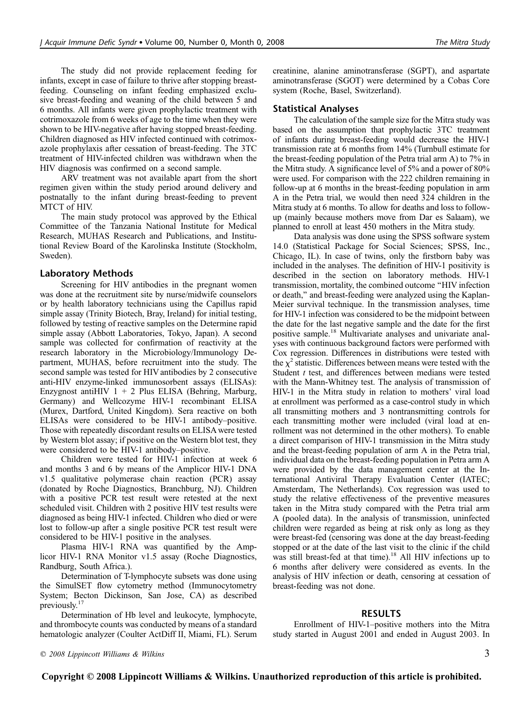The study did not provide replacement feeding for infants, except in case of failure to thrive after stopping breastfeeding. Counseling on infant feeding emphasized exclusive breast-feeding and weaning of the child between 5 and 6 months. All infants were given prophylactic treatment with cotrimoxazole from 6 weeks of age to the time when they were shown to be HIV-negative after having stopped breast-feeding. Children diagnosed as HIV infected continued with cotrimoxazole prophylaxis after cessation of breast-feeding. The 3TC treatment of HIV-infected children was withdrawn when the HIV diagnosis was confirmed on a second sample.

ARV treatment was not available apart from the short regimen given within the study period around delivery and postnatally to the infant during breast-feeding to prevent MTCT of HIV.

The main study protocol was approved by the Ethical Committee of the Tanzania National Institute for Medical Research, MUHAS Research and Publications, and Institutional Review Board of the Karolinska Institute (Stockholm, Sweden).

#### Laboratory Methods

Screening for HIV antibodies in the pregnant women was done at the recruitment site by nurse/midwife counselors or by health laboratory technicians using the Capillus rapid simple assay (Trinity Biotech, Bray, Ireland) for initial testing, followed by testing of reactive samples on the Determine rapid simple assay (Abbott Laboratories, Tokyo, Japan). A second sample was collected for confirmation of reactivity at the research laboratory in the Microbiology/Immunology Department, MUHAS, before recruitment into the study. The second sample was tested for HIV antibodies by 2 consecutive anti-HIV enzyme-linked immunosorbent assays (ELISAs): Enzygnost antiHIV  $1 + 2$  Plus ELISA (Behring, Marburg, Germany) and Wellcozyme HIV-1 recombinant ELISA (Murex, Dartford, United Kingdom). Sera reactive on both ELISAs were considered to be HIV-1 antibody–positive. Those with repeatedly discordant results on ELISA were tested by Western blot assay; if positive on the Western blot test, they were considered to be HIV-1 antibody–positive.

Children were tested for HIV-1 infection at week 6 and months 3 and 6 by means of the Amplicor HIV-1 DNA v1.5 qualitative polymerase chain reaction (PCR) assay (donated by Roche Diagnostics, Branchburg, NJ). Children with a positive PCR test result were retested at the next scheduled visit. Children with 2 positive HIV test results were diagnosed as being HIV-1 infected. Children who died or were lost to follow-up after a single positive PCR test result were considered to be HIV-1 positive in the analyses.

Plasma HIV-1 RNA was quantified by the Amplicor HIV-1 RNA Monitor v1.5 assay (Roche Diagnostics, Randburg, South Africa.).

Determination of T-lymphocyte subsets was done using the SimulSET flow cytometry method (Immunocytometry System; Becton Dickinson, San Jose, CA) as described previously.<sup>17</sup>

Determination of Hb level and leukocyte, lymphocyte, and thrombocyte counts was conducted by means of a standard hematologic analyzer (Coulter ActDiff II, Miami, FL). Serum creatinine, alanine aminotransferase (SGPT), and aspartate aminotransferase (SGOT) were determined by a Cobas Core system (Roche, Basel, Switzerland).

#### Statistical Analyses

The calculation of the sample size for the Mitra study was based on the assumption that prophylactic 3TC treatment of infants during breast-feeding would decrease the HIV-1 transmission rate at 6 months from 14% (Turnbull estimate for the breast-feeding population of the Petra trial arm A) to 7% in the Mitra study. A significance level of 5% and a power of 80% were used. For comparison with the 222 children remaining in follow-up at 6 months in the breast-feeding population in arm A in the Petra trial, we would then need 324 children in the Mitra study at 6 months. To allow for deaths and loss to followup (mainly because mothers move from Dar es Salaam), we planned to enroll at least 450 mothers in the Mitra study.

Data analysis was done using the SPSS software system 14.0 (Statistical Package for Social Sciences; SPSS, Inc., Chicago, IL). In case of twins, only the firstborn baby was included in the analyses. The definition of HIV-1 positivity is described in the section on laboratory methods. HIV-1 transmission, mortality, the combined outcome ''HIV infection or death,'' and breast-feeding were analyzed using the Kaplan-Meier survival technique. In the transmission analyses, time for HIV-1 infection was considered to be the midpoint between the date for the last negative sample and the date for the first positive sample.<sup>18</sup> Multivariate analyses and univariate analyses with continuous background factors were performed with Cox regression. Differences in distributions were tested with the  $\chi^2$  statistic. Differences between means were tested with the Student *t* test, and differences between medians were tested with the Mann-Whitney test. The analysis of transmission of HIV-1 in the Mitra study in relation to mothers' viral load at enrollment was performed as a case-control study in which all transmitting mothers and 3 nontransmitting controls for each transmitting mother were included (viral load at enrollment was not determined in the other mothers). To enable a direct comparison of HIV-1 transmission in the Mitra study and the breast-feeding population of arm A in the Petra trial, individual data on the breast-feeding population in Petra arm A were provided by the data management center at the International Antiviral Therapy Evaluation Center (IATEC; Amsterdam, The Netherlands). Cox regression was used to study the relative effectiveness of the preventive measures taken in the Mitra study compared with the Petra trial arm A (pooled data). In the analysis of transmission, uninfected children were regarded as being at risk only as long as they were breast-fed (censoring was done at the day breast-feeding stopped or at the date of the last visit to the clinic if the child was still breast-fed at that time).<sup>18</sup> All HIV infections up to 6 months after delivery were considered as events. In the analysis of HIV infection or death, censoring at cessation of breast-feeding was not done.

### RESULTS

Enrollment of HIV-1–positive mothers into the Mitra study started in August 2001 and ended in August 2003. In

 $\degree$  2008 Lippincott Williams & Wilkins  $\degree$  3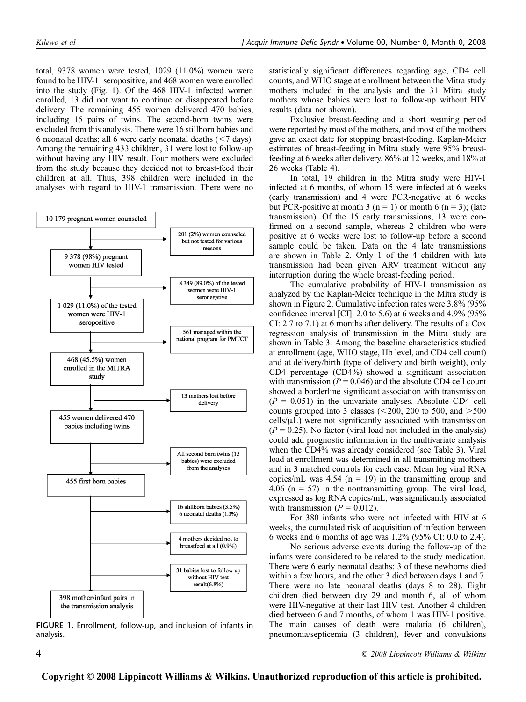total, 9378 women were tested, 1029 (11.0%) women were found to be HIV-1–seropositive, and 468 women were enrolled into the study (Fig. 1). Of the 468 HIV-1–infected women enrolled, 13 did not want to continue or disappeared before delivery. The remaining 455 women delivered 470 babies, including 15 pairs of twins. The second-born twins were excluded from this analysis. There were 16 stillborn babies and 6 neonatal deaths; all 6 were early neonatal deaths  $(< 7 \text{ days})$ . Among the remaining 433 children, 31 were lost to follow-up without having any HIV result. Four mothers were excluded from the study because they decided not to breast-feed their children at all. Thus, 398 children were included in the analyses with regard to HIV-1 transmission. There were no



FIGURE 1. Enrollment, follow-up, and inclusion of infants in analysis.

statistically significant differences regarding age, CD4 cell counts, and WHO stage at enrollment between the Mitra study mothers included in the analysis and the 31 Mitra study mothers whose babies were lost to follow-up without HIV results (data not shown).

Exclusive breast-feeding and a short weaning period were reported by most of the mothers, and most of the mothers gave an exact date for stopping breast-feeding. Kaplan-Meier estimates of breast-feeding in Mitra study were 95% breastfeeding at 6 weeks after delivery, 86% at 12 weeks, and 18% at 26 weeks (Table 4).

In total, 19 children in the Mitra study were HIV-1 infected at 6 months, of whom 15 were infected at 6 weeks (early transmission) and 4 were PCR-negative at 6 weeks but PCR-positive at month 3 ( $n = 1$ ) or month 6 ( $n = 3$ ); (late transmission). Of the 15 early transmissions, 13 were confirmed on a second sample, whereas 2 children who were positive at 6 weeks were lost to follow-up before a second sample could be taken. Data on the 4 late transmissions are shown in Table 2. Only 1 of the 4 children with late transmission had been given ARV treatment without any interruption during the whole breast-feeding period.

The cumulative probability of HIV-1 transmission as analyzed by the Kaplan-Meier technique in the Mitra study is shown in Figure 2. Cumulative infection rates were 3.8% (95% confidence interval [CI]: 2.0 to 5.6) at 6 weeks and 4.9% (95% CI: 2.7 to 7.1) at 6 months after delivery. The results of a Cox regression analysis of transmission in the Mitra study are shown in Table 3. Among the baseline characteristics studied at enrollment (age, WHO stage, Hb level, and CD4 cell count) and at delivery/birth (type of delivery and birth weight), only CD4 percentage (CD4%) showed a significant association with transmission ( $P = 0.046$ ) and the absolute CD4 cell count showed a borderline significant association with transmission  $(P = 0.051)$  in the univariate analyses. Absolute CD4 cell counts grouped into 3 classes ( $\leq$ 200, 200 to 500, and  $>$ 500  $\text{cells}/\mu\text{L}$ ) were not significantly associated with transmission  $(P = 0.25)$ . No factor (viral load not included in the analysis) could add prognostic information in the multivariate analysis when the CD4% was already considered (see Table 3). Viral load at enrollment was determined in all transmitting mothers and in 3 matched controls for each case. Mean log viral RNA copies/mL was 4.54 ( $n = 19$ ) in the transmitting group and 4.06 ( $n = 57$ ) in the nontransmitting group. The viral load, expressed as log RNA copies/mL, was significantly associated with transmission ( $P = 0.012$ ).

For 380 infants who were not infected with HIV at 6 weeks, the cumulated risk of acquisition of infection between 6 weeks and 6 months of age was 1.2% (95% CI: 0.0 to 2.4).

No serious adverse events during the follow-up of the infants were considered to be related to the study medication. There were 6 early neonatal deaths: 3 of these newborns died within a few hours, and the other 3 died between days 1 and 7. There were no late neonatal deaths (days 8 to 28). Eight children died between day 29 and month 6, all of whom were HIV-negative at their last HIV test. Another 4 children died between 6 and 7 months, of whom 1 was HIV-1 positive. The main causes of death were malaria (6 children), pneumonia/septicemia (3 children), fever and convulsions

4 q 2008 Lippincott Williams & Wilkins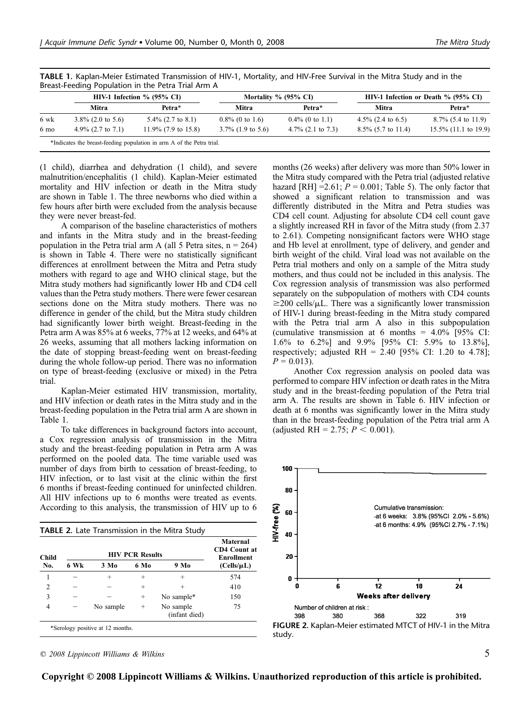|      | HIV-1 Infection $\%$ (95% CI) |                        | Mortality $\%$ (95 $\%$ CI) |                      | HIV-1 Infection or Death % (95% CI) |                         |
|------|-------------------------------|------------------------|-----------------------------|----------------------|-------------------------------------|-------------------------|
|      | Mitra                         | Petra*                 | Mitra                       | Petra*               | <b>Mitra</b>                        | Petra*                  |
| 6 wk | $3.8\%$ (2.0 to 5.6)          | $5.4\%$ (2.7 to 8.1)   | $0.8\%$ (0 to 1.6)          | $0.4\%$ (0 to 1.1)   | 4.5% $(2.4 \text{ to } 6.5)$        | $8.7\%$ (5.4 to 11.9)   |
| 6 mo | 4.9% $(2.7 \text{ to } 7.1)$  | $11.9\%$ (7.9 to 15.8) | $3.7\%$ (1.9 to 5.6)        | $4.7\%$ (2.1 to 7.3) | $8.5\%$ (5.7 to 11.4)               | $15.5\%$ (11.1 to 19.9) |

TABLE 1. Kaplan-Meier Estimated Transmission of HIV-1, Mortality, and HIV-Free Survival in the Mitra Study and in the

(1 child), diarrhea and dehydration (1 child), and severe malnutrition/encephalitis (1 child). Kaplan-Meier estimated mortality and HIV infection or death in the Mitra study are shown in Table 1. The three newborns who died within a few hours after birth were excluded from the analysis because they were never breast-fed.

A comparison of the baseline characteristics of mothers and infants in the Mitra study and in the breast-feeding population in the Petra trial arm A (all 5 Petra sites,  $n = 264$ ) is shown in Table 4. There were no statistically significant differences at enrollment between the Mitra and Petra study mothers with regard to age and WHO clinical stage, but the Mitra study mothers had significantly lower Hb and CD4 cell values than the Petra study mothers. There were fewer cesarean sections done on the Mitra study mothers. There was no difference in gender of the child, but the Mitra study children had significantly lower birth weight. Breast-feeding in the Petra arm A was 85% at 6 weeks, 77% at 12 weeks, and 64% at 26 weeks, assuming that all mothers lacking information on the date of stopping breast-feeding went on breast-feeding during the whole follow-up period. There was no information on type of breast-feeding (exclusive or mixed) in the Petra trial.

Kaplan-Meier estimated HIV transmission, mortality, and HIV infection or death rates in the Mitra study and in the breast-feeding population in the Petra trial arm A are shown in Table 1.

To take differences in background factors into account, a Cox regression analysis of transmission in the Mitra study and the breast-feeding population in Petra arm A was performed on the pooled data. The time variable used was number of days from birth to cessation of breast-feeding, to HIV infection, or to last visit at the clinic within the first 6 months if breast-feeding continued for uninfected children. All HIV infections up to 6 months were treated as events. According to this analysis, the transmission of HIV up to 6

| <b>Child</b>   |      | Maternal<br>CD4 Count at<br>Enrollment |        |                            |                 |
|----------------|------|----------------------------------------|--------|----------------------------|-----------------|
| No.            | 6 Wk | $3 \text{ Mo}$                         | 6 Mo   | 9 Mo                       | $(Cells/\mu L)$ |
|                |      | $\pm$                                  | $^{+}$ | $\div$                     | 574             |
| $\mathfrak{D}$ |      |                                        | $^{+}$ | $\div$                     | 410             |
| 3              |      |                                        | $\div$ | No sample*                 | 150             |
| 4              |      | No sample                              | $^{+}$ | No sample<br>(infant died) | 75              |

 $\degree$  2008 Lippincott Williams & Wilkins  $\degree$  5

months (26 weeks) after delivery was more than 50% lower in the Mitra study compared with the Petra trial (adjusted relative hazard [RH] =  $2.61$ ;  $P = 0.001$ ; Table 5). The only factor that showed a significant relation to transmission and was differently distributed in the Mitra and Petra studies was CD4 cell count. Adjusting for absolute CD4 cell count gave a slightly increased RH in favor of the Mitra study (from 2.37 to 2.61). Competing nonsignificant factors were WHO stage and Hb level at enrollment, type of delivery, and gender and birth weight of the child. Viral load was not available on the Petra trial mothers and only on a sample of the Mitra study mothers, and thus could not be included in this analysis. The Cox regression analysis of transmission was also performed separately on the subpopulation of mothers with CD4 counts  $\geq$ 200 cells/ $\mu$ L. There was a significantly lower transmission of HIV-1 during breast-feeding in the Mitra study compared with the Petra trial arm A also in this subpopulation (cumulative transmission at 6 months =  $4.0\%$  [95% CI: 1.6% to 6.2%] and 9.9% [95% CI: 5.9% to 13.8%], respectively; adjusted RH = 2.40 [95% CI: 1.20 to 4.78];  $P = 0.013$ .

Another Cox regression analysis on pooled data was performed to compare HIV infection or death rates in the Mitra study and in the breast-feeding population of the Petra trial arm A. The results are shown in Table 6. HIV infection or death at 6 months was significantly lower in the Mitra study than in the breast-feeding population of the Petra trial arm A (adjusted RH = 2.75;  $P < 0.001$ ).



**Copyright © 2008 Lippincott Williams & Wilkins. Unauthorized reproduction of this article is prohibited.**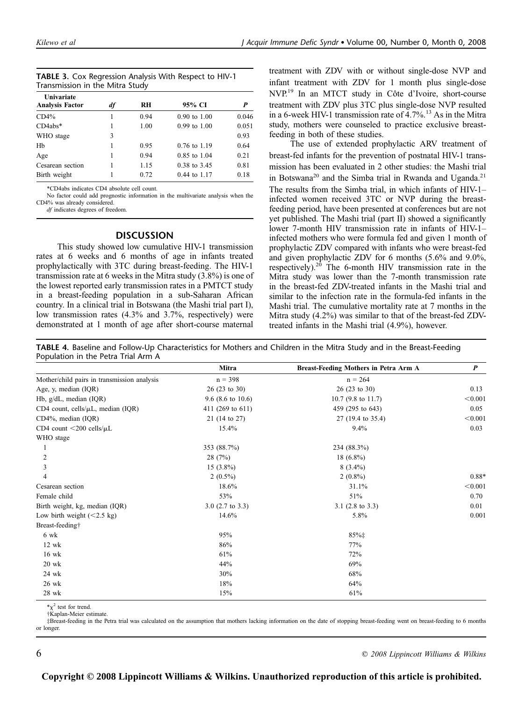|                                 | TABLE 3. Cox Regression Analysis With Respect to HIV-1 |
|---------------------------------|--------------------------------------------------------|
| Transmission in the Mitra Study |                                                        |

| Univariate<br><b>Analysis Factor</b> | df | RH   | 95% CI                  | P     |
|--------------------------------------|----|------|-------------------------|-------|
| CD4%                                 |    | 0.94 | $0.90 \text{ to } 1.00$ | 0.046 |
| $CD4abs*$                            |    | 1.00 | $0.99$ to $1.00$        | 0.051 |
| WHO stage                            | 3  |      |                         | 0.93  |
| Hb                                   |    | 0.95 | $0.76$ to $1.19$        | 0.64  |
| Age                                  |    | 0.94 | $0.85$ to $1.04$        | 0.21  |
| Cesarean section                     |    | 1.15 | 0.38 to 3.45            | 0.81  |
| Birth weight                         |    | 0.72 | $0.44$ to $1.17$        | 0.18  |

\*CD4abs indicates CD4 absolute cell count.

No factor could add prognostic information in the multivariate analysis when the CD4% was already considered.

df indicates degrees of freedom.

#### **DISCUSSION**

This study showed low cumulative HIV-1 transmission rates at 6 weeks and 6 months of age in infants treated prophylactically with 3TC during breast-feeding. The HIV-1 transmission rate at 6 weeks in the Mitra study (3.8%) is one of the lowest reported early transmission rates in a PMTCT study in a breast-feeding population in a sub-Saharan African country. In a clinical trial in Botswana (the Mashi trial part I), low transmission rates (4.3% and 3.7%, respectively) were demonstrated at 1 month of age after short-course maternal

treatment with ZDV with or without single-dose NVP and infant treatment with ZDV for 1 month plus single-dose NVP.<sup>19</sup> In an MTCT study in Côte d'Ivoire, short-course treatment with ZDV plus 3TC plus single-dose NVP resulted in a 6-week HIV-1 transmission rate of  $4.7\%$ .<sup>13</sup> As in the Mitra study, mothers were counseled to practice exclusive breastfeeding in both of these studies.

The use of extended prophylactic ARV treatment of breast-fed infants for the prevention of postnatal HIV-1 transmission has been evaluated in 2 other studies: the Mashi trial in Botswana<sup>20</sup> and the Simba trial in Rwanda and Uganda.<sup>21</sup> The results from the Simba trial, in which infants of HIV-1– infected women received 3TC or NVP during the breastfeeding period, have been presented at conferences but are not yet published. The Mashi trial (part II) showed a significantly lower 7-month HIV transmission rate in infants of HIV-1– infected mothers who were formula fed and given 1 month of prophylactic ZDV compared with infants who were breast-fed and given prophylactic ZDV for 6 months (5.6% and 9.0%, respectively).<sup>20</sup> The 6-month HIV transmission rate in the Mitra study was lower than the 7-month transmission rate in the breast-fed ZDV-treated infants in the Mashi trial and similar to the infection rate in the formula-fed infants in the Mashi trial. The cumulative mortality rate at 7 months in the Mitra study (4.2%) was similar to that of the breast-fed ZDVtreated infants in the Mashi trial (4.9%), however.

TABLE 4. Baseline and Follow-Up Characteristics for Mothers and Children in the Mitra Study and in the Breast-Feeding Population in the Petra Trial Arm A

|                                             | Mitra                   | Breast-Feeding Mothers in Petra Arm A | $\boldsymbol{P}$ |
|---------------------------------------------|-------------------------|---------------------------------------|------------------|
| Mother/child pairs in transmission analysis | $n = 398$               | $n = 264$                             |                  |
| Age, y, median (IQR)                        | $26(23 \text{ to } 30)$ | $26(23 \text{ to } 30)$               | 0.13             |
| Hb, g/dL, median (IQR)                      | 9.6 (8.6 to 10.6)       | $10.7$ (9.8 to 11.7)                  | < 0.001          |
| CD4 count, cells/ $\mu$ L, median (IQR)     | 411 (269 to 611)        | 459 (295 to 643)                      | 0.05             |
| $CD4\%$ , median (IQR)                      | 21 (14 to 27)           | 27 (19.4 to 35.4)                     | < 0.001          |
| CD4 count $\langle 200 \text{ cells/}\mu L$ | 15.4%                   | 9.4%                                  | 0.03             |
| WHO stage                                   |                         |                                       |                  |
|                                             | 353 (88.7%)             | 234 (88.3%)                           |                  |
| 2                                           | 28(7%)                  | $18(6.8\%)$                           |                  |
| 3                                           | $15(3.8\%)$             | $8(3.4\%)$                            |                  |
| $\overline{4}$                              | $2(0.5\%)$              | $2(0.8\%)$                            | 0.88*            |
| Cesarean section                            | 18.6%                   | 31.1%                                 | < 0.001          |
| Female child                                | 53%                     | 51%                                   | 0.70             |
| Birth weight, kg, median (IQR)              | $3.0$ (2.7 to 3.3)      | 3.1 $(2.8 \text{ to } 3.3)$           | 0.01             |
| Low birth weight $(<2.5 \text{ kg})$        | 14.6%                   | 5.8%                                  | 0.001            |
| Breast-feeding†                             |                         |                                       |                  |
| 6 wk                                        | 95%                     | 85%‡                                  |                  |
| $12 \text{ wk}$                             | 86%                     | 77%                                   |                  |
| $16$ wk                                     | 61%                     | 72%                                   |                  |
| $20$ wk                                     | 44%                     | 69%                                   |                  |
| 24 wk                                       | 30%                     | 68%                                   |                  |
| 26 wk                                       | 18%                     | 64%                                   |                  |
| 28 wk                                       | 15%                     | 61%                                   |                  |

 $*\mathbf{v}^2$  test for trend.

†Kaplan-Meier estimate.

‡Breast-feeding in the Petra trial was calculated on the assumption that mothers lacking information on the date of stopping breast-feeding went on breast-feeding to 6 months or longer.

 $\degree$  2008 Lippincott Williams & Wilkins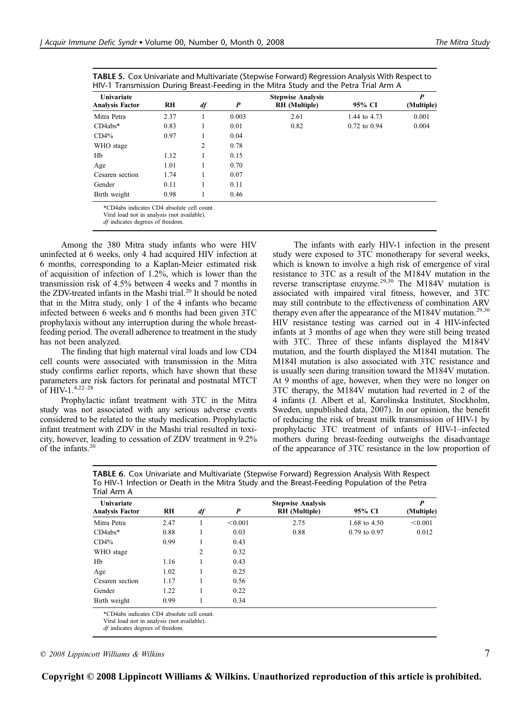| <b>TABLE 5.</b> Cox Univariate and Multivariate (Stepwise Forward) Regression Analysis With Respect to |
|--------------------------------------------------------------------------------------------------------|
| HIV-1 Transmission During Breast-Feeding in the Mitra Study and the Petra Trial Arm A                  |

| Univariate<br><b>Analysis Factor</b> | RH   | df | P     | <b>Stepwise Analysis</b><br><b>RH</b> (Multiple) | 95% CI           | P<br>(Multiple) |
|--------------------------------------|------|----|-------|--------------------------------------------------|------------------|-----------------|
|                                      |      |    |       |                                                  |                  |                 |
| Mitra Petra                          | 2.37 |    | 0.003 | 2.61                                             | 1.44 to 4.73     | 0.001           |
| $CD4abs*$                            | 0.83 |    | 0.01  | 0.82                                             | $0.72$ to $0.94$ | 0.004           |
| CD4%                                 | 0.97 |    | 0.04  |                                                  |                  |                 |
| WHO stage                            |      | 2  | 0.78  |                                                  |                  |                 |
| Hb                                   | 1.12 |    | 0.15  |                                                  |                  |                 |
| Age                                  | 1.01 |    | 0.70  |                                                  |                  |                 |
| Cesaren section                      | 1.74 |    | 0.07  |                                                  |                  |                 |
| Gender                               | 0.11 |    | 0.11  |                                                  |                  |                 |
| Birth weight                         | 0.98 |    | 0.46  |                                                  |                  |                 |

not in ana

df indicates degrees of freedom.

Among the 380 Mitra study infants who were HIV uninfected at 6 weeks, only 4 had acquired HIV infection at 6 months, corresponding to a Kaplan-Meier estimated risk of acquisition of infection of 1.2%, which is lower than the transmission risk of 4.5% between 4 weeks and 7 months in the ZDV-treated infants in the Mashi trial.<sup>20</sup> It should be noted that in the Mitra study, only 1 of the 4 infants who became infected between 6 weeks and 6 months had been given 3TC prophylaxis without any interruption during the whole breastfeeding period. The overall adherence to treatment in the study has not been analyzed.

The finding that high maternal viral loads and low CD4 cell counts were associated with transmission in the Mitra study confirms earlier reports, which have shown that these parameters are risk factors for perinatal and postnatal MTCT of HIV-1.4,22–28

Prophylactic infant treatment with 3TC in the Mitra study was not associated with any serious adverse events considered to be related to the study medication. Prophylactic infant treatment with ZDV in the Mashi trial resulted in toxicity, however, leading to cessation of ZDV treatment in 9.2% of the infants.<sup>20</sup>

The infants with early HIV-1 infection in the present study were exposed to 3TC monotherapy for several weeks, which is known to involve a high risk of emergence of viral resistance to 3TC as a result of the M184V mutation in the reverse transcriptase enzyme.<sup>29,30</sup> The M184V mutation is associated with impaired viral fitness, however, and 3TC may still contribute to the effectiveness of combination ARV therapy even after the appearance of the M184V mutation.<sup>29,30</sup> HIV resistance testing was carried out in 4 HIV-infected infants at 3 months of age when they were still being treated with 3TC. Three of these infants displayed the M184V mutation, and the fourth displayed the M184I mutation. The M184I mutation is also associated with 3TC resistance and is usually seen during transition toward the M184V mutation. At 9 months of age, however, when they were no longer on 3TC therapy, the M184V mutation had reverted in 2 of the 4 infants (J. Albert et al, Karolinska Institutet, Stockholm, Sweden, unpublished data, 2007). In our opinion, the benefit of reducing the risk of breast milk transmission of HIV-1 by prophylactic 3TC treatment of infants of HIV-1–infected mothers during breast-feeding outweighs the disadvantage of the appearance of 3TC resistance in the low proportion of

| Univariate             |      |    |         | <b>Stepwise Analysis</b> |                  | P          |
|------------------------|------|----|---------|--------------------------|------------------|------------|
| <b>Analysis Factor</b> | RH   | df | P       | <b>RH</b> (Multiple)     | 95% CI           | (Multiple) |
| Mitra Petra            | 2.47 |    | < 0.001 | 2.75                     | 1.68 to 4.50     | < 0.001    |
| $CD4abs*$              | 0.88 |    | 0.03    | 0.88                     | $0.79$ to $0.97$ | 0.012      |
| CD4%                   | 0.99 |    | 0.43    |                          |                  |            |
| WHO stage              |      | 2  | 0.32    |                          |                  |            |
| Hb                     | 1.16 |    | 0.43    |                          |                  |            |
| Age                    | 1.02 |    | 0.25    |                          |                  |            |
| Cesaren section        | 1.17 |    | 0.56    |                          |                  |            |
| Gender                 | 1.22 |    | 0.22    |                          |                  |            |
| Birth weight           | 0.99 |    | 0.34    |                          |                  |            |

TABLE 6. Cox Univariate and Multivariate (Stepwise Forward) Regression Analysis With Respect To HIV-1 Infection or Death in the Mitra Study and the Breast-Feeding Population of the Petra Trial Arm A

Viral load not in analysis (not available).

df indicates degrees of freedom.

 $\degree$  2008 Lippincott Williams & Wilkins  $\degree$  7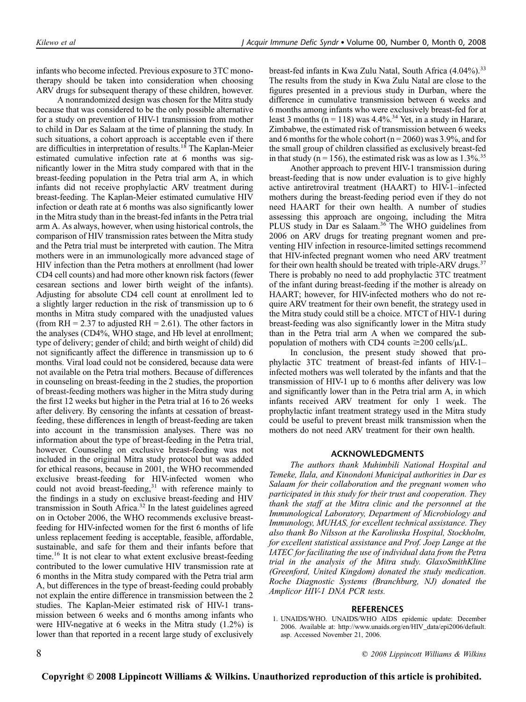infants who become infected. Previous exposure to 3TC monotherapy should be taken into consideration when choosing ARV drugs for subsequent therapy of these children, however.

A nonrandomized design was chosen for the Mitra study because that was considered to be the only possible alternative for a study on prevention of HIV-1 transmission from mother to child in Dar es Salaam at the time of planning the study. In such situations, a cohort approach is acceptable even if there are difficulties in interpretation of results.<sup>18</sup> The Kaplan-Meier estimated cumulative infection rate at 6 months was significantly lower in the Mitra study compared with that in the breast-feeding population in the Petra trial arm A, in which infants did not receive prophylactic ARV treatment during breast-feeding. The Kaplan-Meier estimated cumulative HIV infection or death rate at 6 months was also significantly lower in the Mitra study than in the breast-fed infants in the Petra trial arm A. As always, however, when using historical controls, the comparison of HIV transmission rates between the Mitra study and the Petra trial must be interpreted with caution. The Mitra mothers were in an immunologically more advanced stage of HIV infection than the Petra mothers at enrollment (had lower CD4 cell counts) and had more other known risk factors (fewer cesarean sections and lower birth weight of the infants). Adjusting for absolute CD4 cell count at enrollment led to a slightly larger reduction in the risk of transmission up to 6 months in Mitra study compared with the unadjusted values (from  $RH = 2.37$  to adjusted  $RH = 2.61$ ). The other factors in the analyses (CD4%, WHO stage, and Hb level at enrollment; type of delivery; gender of child; and birth weight of child) did not significantly affect the difference in transmission up to 6 months. Viral load could not be considered, because data were not available on the Petra trial mothers. Because of differences in counseling on breast-feeding in the 2 studies, the proportion of breast-feeding mothers was higher in the Mitra study during the first 12 weeks but higher in the Petra trial at 16 to 26 weeks after delivery. By censoring the infants at cessation of breastfeeding, these differences in length of breast-feeding are taken into account in the transmission analyses. There was no information about the type of breast-feeding in the Petra trial, however. Counseling on exclusive breast-feeding was not included in the original Mitra study protocol but was added for ethical reasons, because in 2001, the WHO recommended exclusive breast-feeding for HIV-infected women who could not avoid breast-feeding, $31$  with reference mainly to the findings in a study on exclusive breast-feeding and HIV transmission in South Africa.<sup>32</sup> In the latest guidelines agreed on in October 2006, the WHO recommends exclusive breastfeeding for HIV-infected women for the first 6 months of life unless replacement feeding is acceptable, feasible, affordable, sustainable, and safe for them and their infants before that time.<sup>16</sup> It is not clear to what extent exclusive breast-feeding contributed to the lower cumulative HIV transmission rate at 6 months in the Mitra study compared with the Petra trial arm A, but differences in the type of breast-feeding could probably not explain the entire difference in transmission between the 2 studies. The Kaplan-Meier estimated risk of HIV-1 transmission between 6 weeks and 6 months among infants who were HIV-negative at 6 weeks in the Mitra study (1.2%) is lower than that reported in a recent large study of exclusively

breast-fed infants in Kwa Zulu Natal, South Africa (4.04%).<sup>33</sup> The results from the study in Kwa Zulu Natal are close to the figures presented in a previous study in Durban, where the difference in cumulative transmission between 6 weeks and 6 months among infants who were exclusively breast-fed for at least 3 months ( $n = 118$ ) was 4.4%.<sup>34</sup> Yet, in a study in Harare, Zimbabwe, the estimated risk of transmission between 6 weeks and 6 months for the whole cohort ( $n = 2060$ ) was 3.9%, and for the small group of children classified as exclusively breast-fed in that study ( $n = 156$ ), the estimated risk was as low as  $1.3\%$ <sup>35</sup>

Another approach to prevent HIV-1 transmission during breast-feeding that is now under evaluation is to give highly active antiretroviral treatment (HAART) to HIV-1–infected mothers during the breast-feeding period even if they do not need HAART for their own health. A number of studies assessing this approach are ongoing, including the Mitra PLUS study in Dar es Salaam.<sup>36</sup> The WHO guidelines from 2006 on ARV drugs for treating pregnant women and preventing HIV infection in resource-limited settings recommend that HIV-infected pregnant women who need ARV treatment for their own health should be treated with triple-ARV drugs. $37$ There is probably no need to add prophylactic 3TC treatment of the infant during breast-feeding if the mother is already on HAART; however, for HIV-infected mothers who do not require ARV treatment for their own benefit, the strategy used in the Mitra study could still be a choice. MTCT of HIV-1 during breast-feeding was also significantly lower in the Mitra study than in the Petra trial arm A when we compared the subpopulation of mothers with CD4 counts  $\geq$ 200 cells/ $\mu$ L.

In conclusion, the present study showed that prophylactic 3TC treatment of breast-fed infants of HIV-1– infected mothers was well tolerated by the infants and that the transmission of HIV-1 up to 6 months after delivery was low and significantly lower than in the Petra trial arm A, in which infants received ARV treatment for only 1 week. The prophylactic infant treatment strategy used in the Mitra study could be useful to prevent breast milk transmission when the mothers do not need ARV treatment for their own health.

#### ACKNOWLEDGMENTS

The authors thank Muhimbili National Hospital and Temeke, Ilala, and Kinondoni Municipal authorities in Dar es Salaam for their collaboration and the pregnant women who participated in this study for their trust and cooperation. They thank the staff at the Mitra clinic and the personnel at the Immunological Laboratory, Department of Microbiology and Immunology, MUHAS, for excellent technical assistance. They also thank Bo Nilsson at the Karolinska Hospital, Stockholm, for excellent statistical assistance and Prof. Joep Lange at the IATEC for facilitating the use of individual data from the Petra trial in the analysis of the Mitra study. GlaxoSmithKline (Greenford, United Kingdom) donated the study medication. Roche Diagnostic Systems (Branchburg, NJ) donated the Amplicor HIV-1 DNA PCR tests.

#### **REFERENCES**

8 6 2008 Lippincott Williams & Wilkins

<sup>1.</sup> UNAIDS/WHO. UNAIDS/WHO AIDS epidemic update: December 2006. Available at: http://www.unaids.org/en/HIV\_data/epi2006/default. asp. Accessed November 21, 2006.